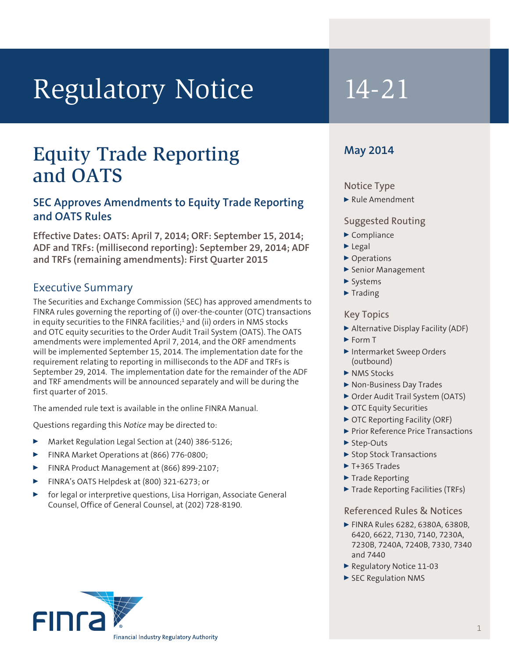# Regulatory Notice 14-21

## Equity Trade Reporting and OATS

#### **SEC Approves Amendments to Equity Trade Reporting and OATS Rules**

**Effective Dates: OATS: April 7, 2014; ORF: September 15, 2014; ADF and TRFs: (millisecond reporting): September 29, 2014; ADF and TRFs (remaining amendments): First Quarter 2015**

### Executive Summary

The Securities and Exchange Commission (SEC) has approved amendments to FINRA rules governing the reporting of (i) over-the-counter (OTC) transactions in equity securities to the FINRA facilities;<sup>1</sup> and (ii) orders in NMS stocks and OTC equity securities to the Order Audit Trail System (OATS). The OATS amendments were implemented April 7, 2014, and the ORF amendments will be implemented September 15, 2014. The implementation date for the requirement relating to reporting in milliseconds to the ADF and TRFs is September 29, 2014. The implementation date for the remainder of the ADF and TRF amendments will be announced separately and will be during the first quarter of 2015.

The amended rule text is available in the online FINRA Manual.

Questions regarding this *Notice* may be directed to:

- <sup>0</sup> Market Regulation Legal Section at (240) 386-5126;
- <sup>0</sup> FINRA Market Operations at (866) 776-0800;
- FINRA Product Management at (866) 899-2107;
- <sup>0</sup> FINRA's OATS Helpdesk at (800) 321-6273; or
- <sup>0</sup> for legal or interpretive questions, Lisa Horrigan, Associate General Counsel, Office of General Counsel, at (202) 728-8190.

#### **May 2014**

#### Notice Type

Rule Amendment

#### Suggested Routing

- $\blacktriangleright$  Compliance
- $\blacktriangleright$  Legal
- ▶ Operations
- <sup>0</sup> Senior Management
- $\blacktriangleright$  Systems
- $\blacktriangleright$  Trading

#### Key Topics

- <sup>0</sup> Alternative Display Facility (ADF)
- $\blacktriangleright$  Form T
- <sup>0</sup> Intermarket Sweep Orders (outbound)
- MMS Stocks
- ▶ Non-Business Day Trades
- ▶ Order Audit Trail System (OATS)
- ▶ OTC Equity Securities
- ▶ OTC Reporting Facility (ORF)
- Prior Reference Price Transactions
- $\blacktriangleright$  Step-Outs
- ▶ Stop Stock Transactions
- $\blacktriangleright$  T+365 Trades
- $\blacktriangleright$  Trade Reporting
- ▶ Trade Reporting Facilities (TRFs)

#### Referenced Rules & Notices

- <sup>0</sup> FINRA Rules 6282, 6380A, 6380B, 6420, 6622, 7130, 7140, 7230A, 7230B, 7240A, 7240B, 7330, 7340 and 7440
- ▶ Regulatory Notice 11-03
- SEC Regulation NMS

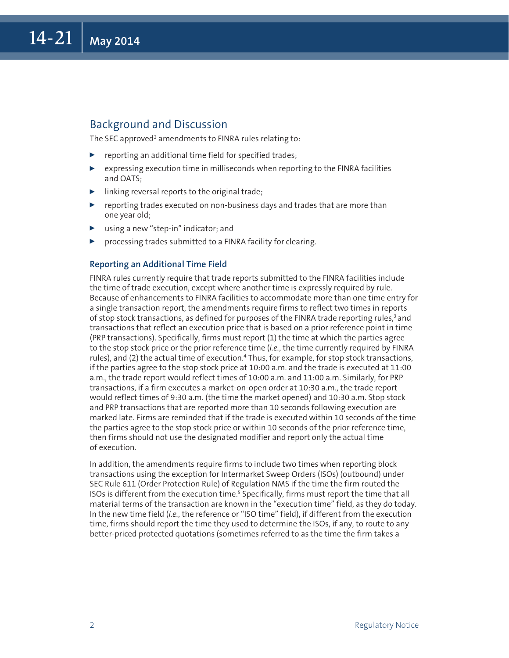#### Background and Discussion

The SEC approved<sup>2</sup> amendments to FINRA rules relating to:

- $\blacktriangleright$  reporting an additional time field for specified trades;
- $\triangleright$  expressing execution time in milliseconds when reporting to the FINRA facilities and OATS;
- linking reversal reports to the original trade;
- $\blacktriangleright$  reporting trades executed on non-business days and trades that are more than one year old;
- using a new "step-in" indicator; and
- $\triangleright$  processing trades submitted to a FINRA facility for clearing.

#### **Reporting an Additional Time Field**

FINRA rules currently require that trade reports submitted to the FINRA facilities include the time of trade execution, except where another time is expressly required by rule. Because of enhancements to FINRA facilities to accommodate more than one time entry for a single transaction report, the amendments require firms to reflect two times in reports of stop stock transactions, as defined for purposes of the FINRA trade reporting rules, $3$  and transactions that reflect an execution price that is based on a prior reference point in time (PRP transactions). Specifically, firms must report (1) the time at which the parties agree to the stop stock price or the prior reference time (*i.e.*, the time currently required by FINRA rules), and (2) the actual time of execution.4 Thus, for example, for stop stock transactions, if the parties agree to the stop stock price at 10:00 a.m. and the trade is executed at 11:00 a.m., the trade report would reflect times of 10:00 a.m. and 11:00 a.m. Similarly, for PRP transactions, if a firm executes a market-on-open order at 10:30 a.m., the trade report would reflect times of 9:30 a.m. (the time the market opened) and 10:30 a.m. Stop stock and PRP transactions that are reported more than 10 seconds following execution are marked late. Firms are reminded that if the trade is executed within 10 seconds of the time the parties agree to the stop stock price or within 10 seconds of the prior reference time, then firms should not use the designated modifier and report only the actual time of execution.

In addition, the amendments require firms to include two times when reporting block transactions using the exception for Intermarket Sweep Orders (ISOs) (outbound) under SEC Rule 611 (Order Protection Rule) of Regulation NMS if the time the firm routed the ISOs is different from the execution time.<sup>5</sup> Specifically, firms must report the time that all material terms of the transaction are known in the "execution time" field, as they do today. In the new time field (*i.e.*, the reference or "ISO time" field), if different from the execution time, firms should report the time they used to determine the ISOs, if any, to route to any better-priced protected quotations (sometimes referred to as the time the firm takes a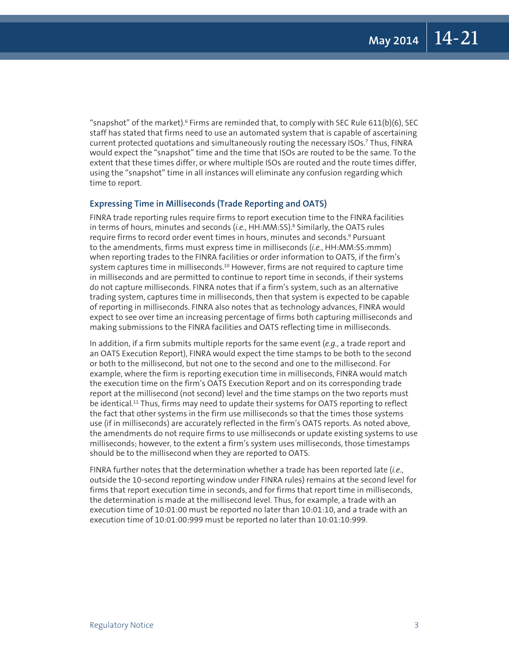"snapshot" of the market).  $6$  Firms are reminded that, to comply with SEC Rule 611(b)(6), SEC staff has stated that firms need to use an automated system that is capable of ascertaining current protected quotations and simultaneously routing the necessary ISOs.7 Thus, FINRA would expect the "snapshot" time and the time that ISOs are routed to be the same. To the extent that these times differ, or where multiple ISOs are routed and the route times differ, using the "snapshot" time in all instances will eliminate any confusion regarding which time to report.

#### **Expressing Time in Milliseconds (Trade Reporting and OATS)**

FINRA trade reporting rules require firms to report execution time to the FINRA facilities in terms of hours, minutes and seconds (*i.e.*, HH:MM:SS).8 Similarly, the OATS rules require firms to record order event times in hours, minutes and seconds.<sup>9</sup> Pursuant to the amendments, firms must express time in milliseconds (*i.e.*, HH:MM:SS:mmm) when reporting trades to the FINRA facilities or order information to OATS, if the firm's system captures time in milliseconds.<sup>10</sup> However, firms are not required to capture time in milliseconds and are permitted to continue to report time in seconds, if their systems do not capture milliseconds. FINRA notes that if a firm's system, such as an alternative trading system, captures time in milliseconds, then that system is expected to be capable of reporting in milliseconds. FINRA also notes that as technology advances, FINRA would expect to see over time an increasing percentage of firms both capturing milliseconds and making submissions to the FINRA facilities and OATS reflecting time in milliseconds.

In addition, if a firm submits multiple reports for the same event (*e.g.*, a trade report and an OATS Execution Report), FINRA would expect the time stamps to be both to the second or both to the millisecond, but not one to the second and one to the millisecond. For example, where the firm is reporting execution time in milliseconds, FINRA would match the execution time on the firm's OATS Execution Report and on its corresponding trade report at the millisecond (not second) level and the time stamps on the two reports must be identical.<sup>11</sup> Thus, firms may need to update their systems for OATS reporting to reflect the fact that other systems in the firm use milliseconds so that the times those systems use (if in milliseconds) are accurately reflected in the firm's OATS reports. As noted above, the amendments do not require firms to use milliseconds or update existing systems to use milliseconds; however, to the extent a firm's system uses milliseconds, those timestamps should be to the millisecond when they are reported to OATS.

FINRA further notes that the determination whether a trade has been reported late (*i.e.*, outside the 10-second reporting window under FINRA rules) remains at the second level for firms that report execution time in seconds, and for firms that report time in milliseconds, the determination is made at the millisecond level. Thus, for example, a trade with an execution time of 10:01:00 must be reported no later than 10:01:10, and a trade with an execution time of 10:01:00:999 must be reported no later than 10:01:10:999.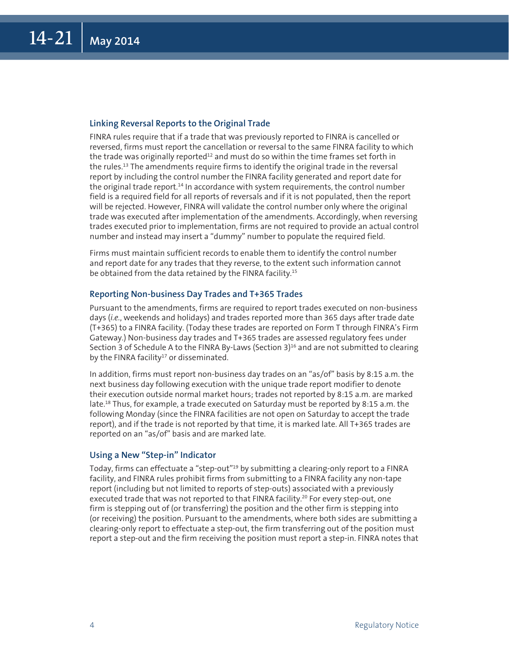#### **Linking Reversal Reports to the Original Trade**

FINRA rules require that if a trade that was previously reported to FINRA is cancelled or reversed, firms must report the cancellation or reversal to the same FINRA facility to which the trade was originally reported $12$  and must do so within the time frames set forth in the rules.13 The amendments require firms to identify the original trade in the reversal report by including the control number the FINRA facility generated and report date for the original trade report.<sup>14</sup> In accordance with system requirements, the control number field is a required field for all reports of reversals and if it is not populated, then the report will be rejected. However, FINRA will validate the control number only where the original trade was executed after implementation of the amendments. Accordingly, when reversing trades executed prior to implementation, firms are not required to provide an actual control number and instead may insert a "dummy" number to populate the required field.

Firms must maintain sufficient records to enable them to identify the control number and report date for any trades that they reverse, to the extent such information cannot be obtained from the data retained by the FINRA facility.<sup>15</sup>

#### **Reporting Non-business Day Trades and T+365 Trades**

Pursuant to the amendments, firms are required to report trades executed on non-business days (*i.e.*, weekends and holidays) and trades reported more than 365 days after trade date (T+365) to a FINRA facility. (Today these trades are reported on Form T through FINRA's Firm Gateway.) Non-business day trades and T+365 trades are assessed regulatory fees under Section 3 of Schedule A to the FINRA By-Laws (Section  $3$ )<sup>16</sup> and are not submitted to clearing by the FINRA facility<sup>17</sup> or disseminated.

In addition, firms must report non-business day trades on an "as/of" basis by 8:15 a.m. the next business day following execution with the unique trade report modifier to denote their execution outside normal market hours; trades not reported by 8:15 a.m. are marked late.18 Thus, for example, a trade executed on Saturday must be reported by 8:15 a.m. the following Monday (since the FINRA facilities are not open on Saturday to accept the trade report), and if the trade is not reported by that time, it is marked late. All T+365 trades are reported on an "as/of" basis and are marked late.

#### **Using a New "Step-in" Indicator**

Today, firms can effectuate a "step-out"19 by submitting a clearing-only report to a FINRA facility, and FINRA rules prohibit firms from submitting to a FINRA facility any non-tape report (including but not limited to reports of step-outs) associated with a previously executed trade that was not reported to that FINRA facility.<sup>20</sup> For every step-out, one firm is stepping out of (or transferring) the position and the other firm is stepping into (or receiving) the position. Pursuant to the amendments, where both sides are submitting a clearing-only report to effectuate a step-out, the firm transferring out of the position must report a step-out and the firm receiving the position must report a step-in. FINRA notes that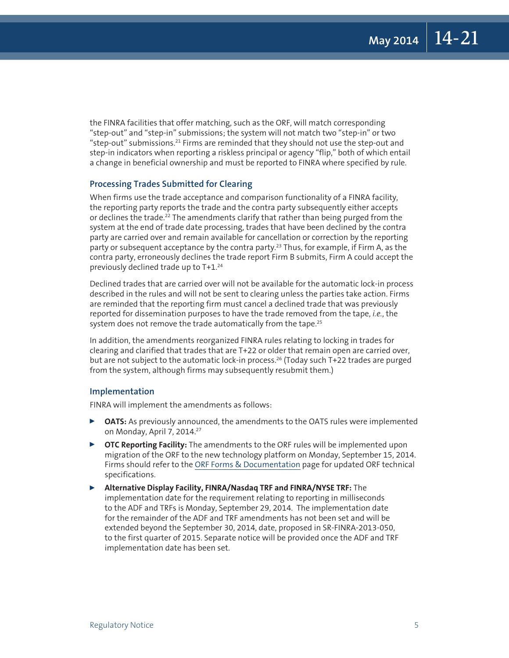the FINRA facilities that offer matching, such as the ORF, will match corresponding "step-out" and "step-in" submissions; the system will not match two "step-in" or two "step-out" submissions.21 Firms are reminded that they should not use the step-out and step-in indicators when reporting a riskless principal or agency "flip," both of which entail a change in beneficial ownership and must be reported to FINRA where specified by rule.

#### **Processing Trades Submitted for Clearing**

When firms use the trade acceptance and comparison functionality of a FINRA facility, the reporting party reports the trade and the contra party subsequently either accepts or declines the trade.<sup>22</sup> The amendments clarify that rather than being purged from the system at the end of trade date processing, trades that have been declined by the contra party are carried over and remain available for cancellation or correction by the reporting party or subsequent acceptance by the contra party.<sup>23</sup> Thus, for example, if Firm A, as the contra party, erroneously declines the trade report Firm B submits, Firm A could accept the previously declined trade up to T+1.24

Declined trades that are carried over will not be available for the automatic lock-in process described in the rules and will not be sent to clearing unless the parties take action. Firms are reminded that the reporting firm must cancel a declined trade that was previously reported for dissemination purposes to have the trade removed from the tape, *i.e.*, the system does not remove the trade automatically from the tape.<sup>25</sup>

In addition, the amendments reorganized FINRA rules relating to locking in trades for clearing and clarified that trades that are T+22 or older that remain open are carried over, but are not subject to the automatic lock-in process.<sup>26</sup> (Today such T+22 trades are purged from the system, although firms may subsequently resubmit them.)

#### **Implementation**

FINRA will implement the amendments as follows:

- <sup>0</sup> **OATS:** As previously announced, the amendments to the OATS rules were implemented on Monday, April 7, 2014.<sup>27</sup>
- ▶ OTC Reporting Facility: The amendments to the ORF rules will be implemented upon migration of the ORF to the new technology platform on Monday, September 15, 2014. Firms should refer to the [ORF Forms & Documentation](http://www.finra.org/Industry/Compliance/MarketTransparency/ORF/Forms/index.htm) page for updated ORF technical specifications.
- <sup>0</sup> **Alternative Display Facility, FINRA/Nasdaq TRF and FINRA/NYSE TRF:** The implementation date for the requirement relating to reporting in milliseconds to the ADF and TRFs is Monday, September 29, 2014. The implementation date for the remainder of the ADF and TRF amendments has not been set and will be extended beyond the September 30, 2014, date, proposed in SR-FINRA-2013-050, to the first quarter of 2015. Separate notice will be provided once the ADF and TRF implementation date has been set.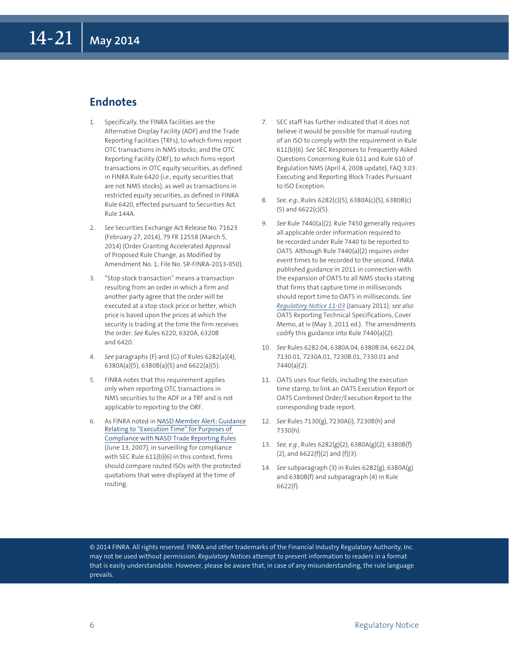#### **Endnotes**

- 1. Specifically, the FINRA facilities are the Alternative Display Facility (ADF) and the Trade Reporting Facilities (TRFs), to which firms report OTC transactions in NMS stocks; and the OTC Reporting Facility (ORF), to which firms report transactions in OTC equity securities, as defined in FINRA Rule 6420 (*i.e.*, equity securities that are not NMS stocks), as well as transactions in restricted equity securities, as defined in FINRA Rule 6420, effected pursuant to Securities Act Rule 144A.
- 2. *See* Securities Exchange Act Release No. 71623 (February 27, 2014), 79 FR 12558 (March 5, 2014) (Order Granting Accelerated Approval of Proposed Rule Change, as Modified by Amendment No. 1; File No. SR-FINRA-2013-050).
- 3. "Stop stock transaction" means a transaction resulting from an order in which a firm and another party agree that the order will be executed at a stop stock price or better, which price is based upon the prices at which the security is trading at the time the firm receives the order. *See* Rules 6220, 6320A, 6320B and 6420.
- 4. *See* paragraphs (F) and (G) of Rules 6282(a)(4), 6380A(a)(5), 6380B(a)(5) and 6622(a)(5).
- 5. FINRA notes that this requirement applies only when reporting OTC transactions in NMS securities to the ADF or a TRF and is not applicable to reporting to the ORF.
- 6. As FINRA noted in [NASD Member Alert: Guidance](http://www.finra.org/industry/regulation/guidance/memberalerts/2007/p019293)  [Relating to "Execution Time" for Purposes of](http://www.finra.org/industry/regulation/guidance/memberalerts/2007/p019293)  [Compliance with NASD Trade Reporting Rules](http://www.finra.org/industry/regulation/guidance/memberalerts/2007/p019293) (June 13, 2007), in surveilling for compliance with SEC Rule 611(b)(6) in this context, firms should compare routed ISOs with the protected quotations that were displayed at the time of routing.
- 7. SEC staff has further indicated that it does not believe it would be possible for manual routing of an ISO to comply with the requirement in Rule 611(b)(6). *See* SEC Responses to Frequently Asked Questions Concerning Rule 611 and Rule 610 of Regulation NMS (April 4, 2008 update), FAQ 3.03: Executing and Reporting Block Trades Pursuant to ISO Exception.
- 8. *See, e.g.*, Rules 6282(c)(5), 6380A(c)(5), 6380B(c) (5) and 6622(c)(5).
- 9. *See* Rule 7440(a)(2). Rule 7450 generally requires all applicable order information required to be recorded under Rule 7440 to be reported to OATS. Although Rule 7440(a)(2) requires order event times to be recorded to the second, FINRA published guidance in 2011 in connection with the expansion of OATS to all NMS stocks stating that firms that capture time in milliseconds should report time to OATS in milliseconds. *See [Regulatory Notice 11-03](http://www.finra.org/Industry/Regulation/Notices/2011/P122786)* (January 2011); *see also*  OATS Reporting Technical Specifications, Cover Memo, at iv (May 3, 2011 ed.). The amendments codify this guidance into Rule 7440(a)(2).
- 10. *See* Rules 6282.04, 6380A.04, 6380B.04, 6622.04, 7130.01, 7230A.01, 7230B.01, 7330.01 and 7440(a)(2).
- 11. OATS uses four fields, including the execution time stamp, to link an OATS Execution Report or OATS Combined Order/Execution Report to the corresponding trade report.
- 12. *See* Rules 7130(g), 7230A(i), 7230B(h) and 7330(h).
- 13. *See, e.g.*, Rules 6282(g)(2), 6380A(g)(2), 6380B(f)  $(2)$ , and  $6622(f)(2)$  and  $(f)(3)$ .
- 14. *See* subparagraph (3) in Rules 6282(g), 6380A(g) and 6380B(f) and subparagraph (4) in Rule 6622(f).

© 2014 FINRA. All rights reserved. FINRA and other trademarks of the Financial Industry Regulatory Authority, Inc. may not be used without permission. *Regulatory Notices* attempt to present information to readers in a format that is easily understandable. However, please be aware that, in case of any misunderstanding, the rule language prevails.